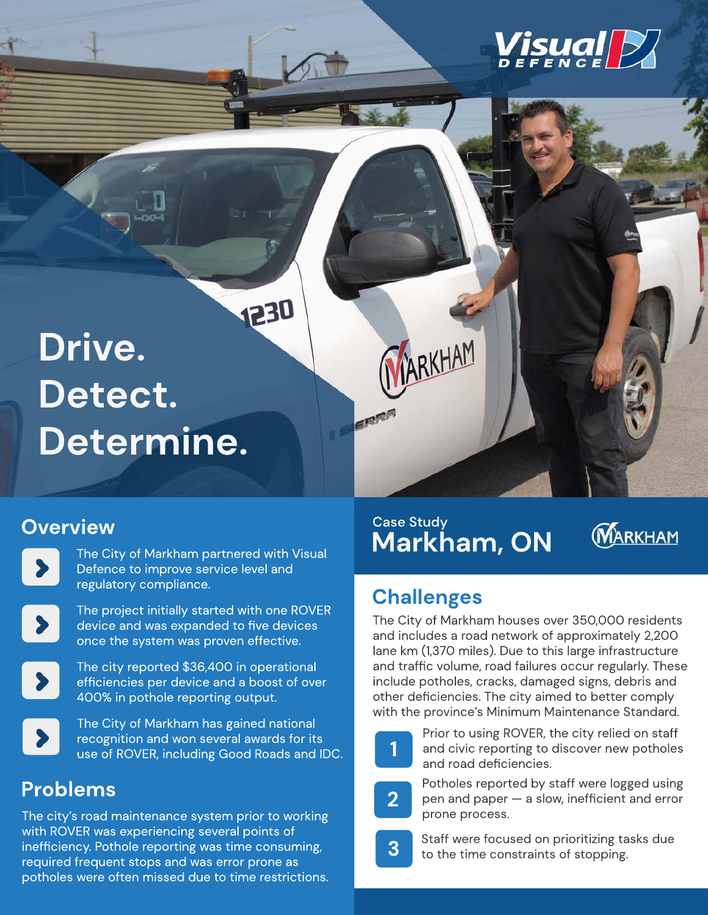

# 1230 **Drive. Detect. Determine.**

#### **Overview**

The City of Markham partnered with Visual Defence to improve service level and regulatory compliance.



The project initially started with one ROVER device and was expanded to five devices once the system was proven effective.



The city reported \$36,400 in operational efficiencies per device and a boost of over 400% in pothole reporting output.



The City of Markham has gained national recognition and won several awards for its use of ROVER, including Good Roads and IDC.

## **Problems**

The city's road maintenance system prior to working with ROVER was experiencing several points of inefficiency. Pothole reporting was time consuming, required frequent stops and was error prone as potholes were often missed due to time restrictions.

#### **Markham, ON** Case Study

ARKHAM

 $\varepsilon$  $\mathbb{R}^n$ 



# **Challenges**

The City of Markham houses over 350,000 residents and includes a road network of approximately 2,200 lane km (1,370 miles). Due to this large infrastructure and traffic volume, road failures occur regularly. These include potholes, cracks, damaged signs, debris and other deficiencies. The city aimed to better comply with the province's Minimum Maintenance Standard.



Prior to using ROVER, the city relied on staff and civic reporting to discover new potholes and road deficiencies.



Potholes reported by staff were logged using pen and paper — a slow, inefficient and error prone process.



**3** Staff were focused on prioritizing tasks due<br>**3** to the time constraints of stopping.